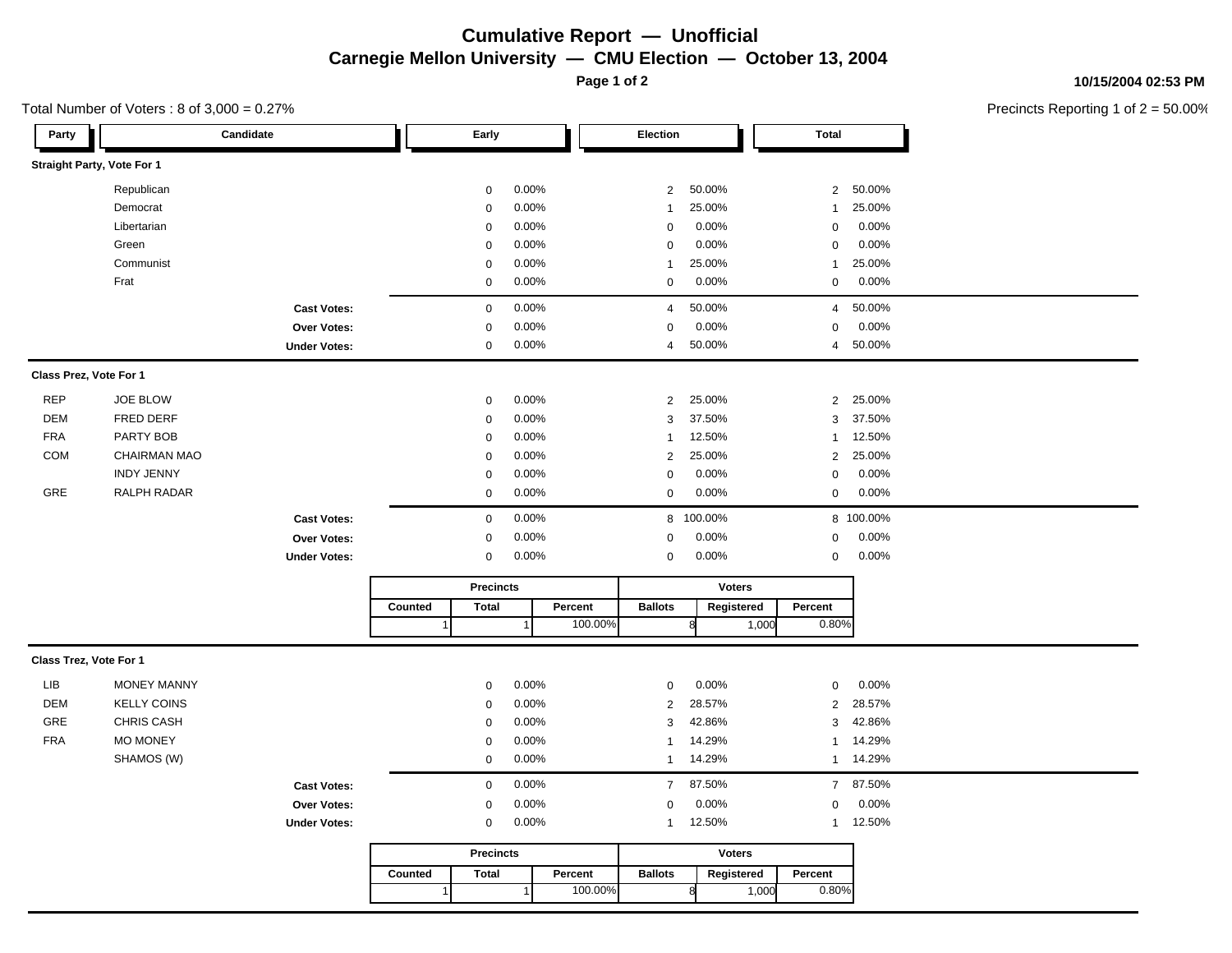### **Cumulative Report — Unofficial Carnegie Mellon University — CMU Election — October 13, 2004**

**Page 1 of 2**

#### **10/15/2004 02:53 PM**

Precincts Reporting 1 of 2 = 50.00%

# Total Number of Voters : 8 of 3,000 = 0.27%

| Party                      |                     | Candidate           |                  | Early            |           |               | Election       |                |       | <b>Total</b>   |           |  |
|----------------------------|---------------------|---------------------|------------------|------------------|-----------|---------------|----------------|----------------|-------|----------------|-----------|--|
| Straight Party, Vote For 1 |                     |                     |                  |                  |           |               |                |                |       |                |           |  |
|                            | Republican          |                     |                  | $\mathbf 0$      | 0.00%     |               | $\overline{2}$ | 50.00%         |       | $\overline{2}$ | 50.00%    |  |
|                            | Democrat            |                     |                  | $\mathbf 0$      | 0.00%     |               | $\mathbf{1}$   | 25.00%         |       | $\mathbf{1}$   | 25.00%    |  |
|                            | Libertarian         |                     |                  | $\mathbf 0$      | 0.00%     |               | $\mathbf 0$    | 0.00%          |       | $\pmb{0}$      | 0.00%     |  |
|                            | Green               |                     |                  | $\mathbf 0$      | 0.00%     |               | $\mathbf 0$    | 0.00%          |       | $\mathbf 0$    | 0.00%     |  |
|                            | Communist           |                     |                  | $\mathbf 0$      | 0.00%     |               | $\mathbf{1}$   | 25.00%         |       | $\mathbf{1}$   | 25.00%    |  |
|                            | Frat                |                     |                  | $\mathbf 0$      | 0.00%     |               | $\mathbf 0$    | 0.00%          |       | $\mathbf 0$    | 0.00%     |  |
|                            |                     | <b>Cast Votes:</b>  |                  | $\mathsf 0$      | 0.00%     |               | $\overline{4}$ | 50.00%         |       | $\overline{4}$ | 50.00%    |  |
|                            |                     | Over Votes:         |                  | $\mathbf 0$      | 0.00%     |               | $\mathbf 0$    | 0.00%          |       | $\mathbf 0$    | 0.00%     |  |
|                            |                     | <b>Under Votes:</b> |                  | $\mathbf 0$      | 0.00%     |               | $\overline{a}$ | 50.00%         |       | $\overline{4}$ | 50.00%    |  |
| Class Prez, Vote For 1     |                     |                     |                  |                  |           |               |                |                |       |                |           |  |
| <b>REP</b>                 | JOE BLOW            |                     |                  | $\mathbf 0$      | 0.00%     |               | $\overline{2}$ | 25.00%         |       | 2              | 25.00%    |  |
| <b>DEM</b>                 | FRED DERF           |                     |                  | $\mathbf 0$      | $0.00\%$  |               | 3              | 37.50%         |       | 3              | 37.50%    |  |
| <b>FRA</b>                 | PARTY BOB           |                     |                  | $\mathbf 0$      | 0.00%     |               | $\mathbf{1}$   | 12.50%         |       | $\mathbf{1}$   | 12.50%    |  |
| <b>COM</b>                 | <b>CHAIRMAN MAO</b> |                     |                  | $\mathbf 0$      | 0.00%     |               | 2              | 25.00%         |       | 2              | 25.00%    |  |
|                            | <b>INDY JENNY</b>   |                     |                  | $\mathbf 0$      | 0.00%     |               | $\mathbf 0$    | 0.00%          |       | $\mathbf 0$    | 0.00%     |  |
| GRE                        | RALPH RADAR         |                     |                  | $\mathbf 0$      | 0.00%     |               | $\pmb{0}$      | 0.00%          |       | $\mathsf 0$    | 0.00%     |  |
|                            |                     | <b>Cast Votes:</b>  |                  | $\mathsf 0$      | 0.00%     |               |                | 8 100.00%      |       |                | 8 100.00% |  |
|                            |                     | Over Votes:         |                  | $\mathbf 0$      | 0.00%     |               | $\mathbf 0$    | 0.00%          |       | $\mathbf 0$    | 0.00%     |  |
|                            |                     | <b>Under Votes:</b> |                  | 0                | 0.00%     |               | 0              | 0.00%          |       | $\mathbf 0$    | 0.00%     |  |
|                            |                     |                     | <b>Precincts</b> |                  |           | <b>Voters</b> |                |                |       |                |           |  |
|                            |                     |                     | Counted          | <b>Total</b>     |           | Percent       | <b>Ballots</b> | Registered     |       | Percent        |           |  |
|                            |                     |                     |                  |                  |           | 100.00%       |                | R              | 1,000 | 0.80%          |           |  |
| Class Trez, Vote For 1     |                     |                     |                  |                  |           |               |                |                |       |                |           |  |
| LIB                        | <b>MONEY MANNY</b>  |                     |                  | $\mathbf 0$      | 0.00%     |               | $\mathbf 0$    | 0.00%          |       | $\mathsf 0$    | 0.00%     |  |
| <b>DEM</b>                 | <b>KELLY COINS</b>  |                     |                  | $\mathbf 0$      | 0.00%     |               | $\sqrt{2}$     | 28.57%         |       | $\sqrt{2}$     | 28.57%    |  |
| GRE                        | <b>CHRIS CASH</b>   |                     |                  | 0                | 0.00%     |               | $\sqrt{3}$     | 42.86%         |       | $\mathbf{3}$   | 42.86%    |  |
| <b>FRA</b>                 | <b>MO MONEY</b>     |                     |                  | $\mathbf 0$      | $0.00\%$  |               | $\mathbf{1}$   | 14.29%         |       | $\mathbf{1}$   | 14.29%    |  |
|                            | SHAMOS (W)          |                     |                  | $\mathbf 0$      | $0.00\%$  |               | $\mathbf{1}$   | 14.29%         |       | $\mathbf{1}$   | 14.29%    |  |
|                            |                     | <b>Cast Votes:</b>  |                  | $\mathbf 0$      | 0.00%     |               | $\overline{7}$ | 87.50%         |       | $\overline{7}$ | 87.50%    |  |
|                            |                     | Over Votes:         |                  | $\mathbf 0$      | 0.00%     |               | $\mathbf 0$    | 0.00%          |       | $\pmb{0}$      | 0.00%     |  |
|                            |                     | <b>Under Votes:</b> |                  | $\mathsf 0$      | 0.00%     |               | $\mathbf{1}$   | 12.50%         |       | $\mathbf{1}$   | 12.50%    |  |
|                            |                     |                     |                  | <b>Precincts</b> |           |               |                | <b>Voters</b>  |       |                |           |  |
|                            |                     |                     | Counted          | <b>Total</b>     |           | Percent       | <b>Ballots</b> | Registered     |       | Percent        |           |  |
|                            |                     |                     | 1                |                  | $\vert$ 1 | 100.00%       |                | $\overline{8}$ | 1,000 | 0.80%          |           |  |